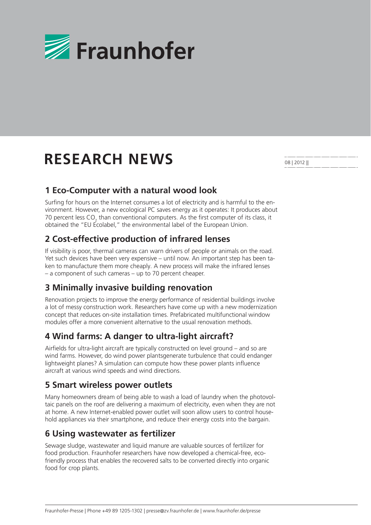

# **RESEARCH NEWS**

08 | 2012 ||

### **1 Eco-Computer with a natural wood look**

Surfing for hours on the Internet consumes a lot of electricity and is harmful to the environment. However, a new ecological PC saves energy as it operates: It produces about 70 percent less CO<sub>2</sub> than conventional computers. As the first computer of its class, it obtained the "EU Ecolabel," the environmental label of the European Union.

# **2 Cost-effective production of infrared lenses**

If visibility is poor, thermal cameras can warn drivers of people or animals on the road. Yet such devices have been very expensive – until now. An important step has been taken to manufacture them more cheaply. A new process will make the infrared lenses – a component of such cameras – up to 70 percent cheaper.

### **3 Minimally invasive building renovation**

Renovation projects to improve the energy performance of residential buildings involve a lot of messy construction work. Researchers have come up with a new modernization concept that reduces on-site installation times. Prefabricated multifunctional window modules offer a more convenient alternative to the usual renovation methods.

### **4 Wind farms: A danger to ultra-light aircraft?**

Airfields for ultra-light aircraft are typically constructed on level ground  $-$  and so are wind farms. However, do wind power plantsgenerate turbulence that could endanger lightweight planes? A simulation can compute how these power plants influence aircraft at various wind speeds and wind directions.

### **5 Smart wireless power outlets**

Many homeowners dream of being able to wash a load of laundry when the photovoltaic panels on the roof are delivering a maximum of electricity, even when they are not at home. A new Internet-enabled power outlet will soon allow users to control household appliances via their smartphone, and reduce their energy costs into the bargain.

### **6 Using wastewater as fertilizer**

Sewage sludge, wastewater and liquid manure are valuable sources of fertilizer for food production. Fraunhofer researchers have now developed a chemical-free, ecofriendly process that enables the recovered salts to be converted directly into organic food for crop plants.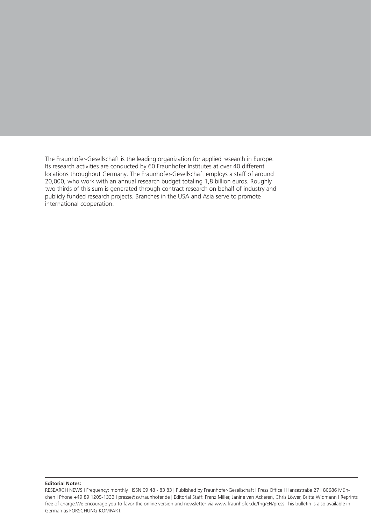The Fraunhofer-Gesellschaft is the leading organization for applied research in Europe. Its research activities are conducted by 60 Fraunhofer Institutes at over 40 different locations throughout Germany. The Fraunhofer-Gesellschaft employs a staff of around 20,000, who work with an annual research budget totaling 1,8 billion euros. Roughly two thirds of this sum is generated through contract research on behalf of industry and publicly funded research projects. Branches in the USA and Asia serve to promote international cooperation.

#### **Editorial Notes:**

RESEARCH NEWS I Frequency: monthly I ISSN 09 48 - 83 83 | Published by Fraunhofer-Gesellschaft I Press Office I Hansastraße 27 I 80686 München l Phone +49 89 1205-1333 l presse@zv.fraunhofer.de | Editorial Staff: Franz Miller, Janine van Ackeren, Chris Löwer, Britta Widmann l Reprints free of charge.We encourage you to favor the online version and newsletter via www.fraunhofer.de/fhg/EN/press This bulletin is also available in German as FORSCHUNG KOMPAKT.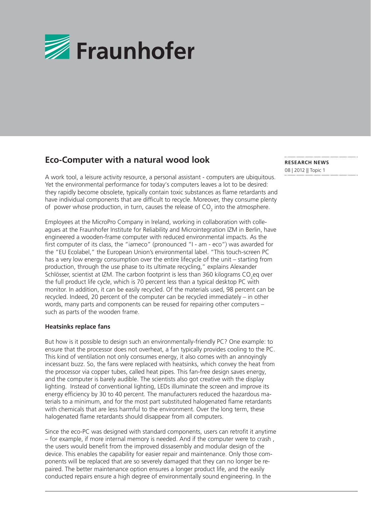

# **Eco-Computer with a natural wood look**

A work tool, a leisure activity resource, a personal assistant - computers are ubiquitous. Yet the environmental performance for today's computers leaves a lot to be desired: they rapidly become obsolete, typically contain toxic substances as flame retardants and have individual components that are difficult to recycle. Moreover, they consume plenty of power whose production, in turn, causes the release of  $CO_2$  into the atmosphere.

Employees at the MicroPro Company in Ireland, working in collaboration with colleagues at the Fraunhofer Institute for Reliability and Microintegration IZM in Berlin, have engineered a wooden-frame computer with reduced environmental impacts. As the first computer of its class, the "iameco" (pronounced "I - am - eco") was awarded for the "EU Ecolabel," the European Union's environmental label. "This touch-screen PC has a very low energy consumption over the entire lifecycle of the unit – starting from production, through the use phase to its ultimate recycling," explains Alexander Schlösser, scientist at IZM. The carbon footprint is less than 360 kilograms CO<sub>2</sub>eq over the full product life cycle, which is 70 percent less than a typical desktop PC with monitor. In addition, it can be easily recycled. Of the materials used, 98 percent can be recycled. Indeed, 20 percent of the computer can be recycled immediately – in other words, many parts and components can be reused for repairing other computers – such as parts of the wooden frame.

### **Heatsinks replace fans**

But how is it possible to design such an environmentally-friendly PC? One example: to ensure that the processor does not overheat, a fan typically provides cooling to the PC. This kind of ventilation not only consumes energy, it also comes with an annoyingly incessant buzz. So, the fans were replaced with heatsinks, which convey the heat from the processor via copper tubes, called heat pipes. This fan-free design saves energy, and the computer is barely audible. The scientists also got creative with the display lighting. Instead of conventional lighting, LEDs illuminate the screen and improve its energy efficiency by 30 to 40 percent. The manufacturers reduced the hazardous materials to a minimum, and for the most part substituted halogenated flame retardants with chemicals that are less harmful to the environment. Over the long term, these halogenated flame retardants should disappear from all computers.

Since the eco-PC was designed with standard components, users can retrofit it anytime – for example, if more internal memory is needed. And if the computer were to crash , the users would benefit from the improved dissasembly and modular design of the device. This enables the capability for easier repair and maintenance. Only those components will be replaced that are so severely damaged that they can no longer be repaired. The better maintenance option ensures a longer product life, and the easily conducted repairs ensure a high degree of environmentally sound engineering. In the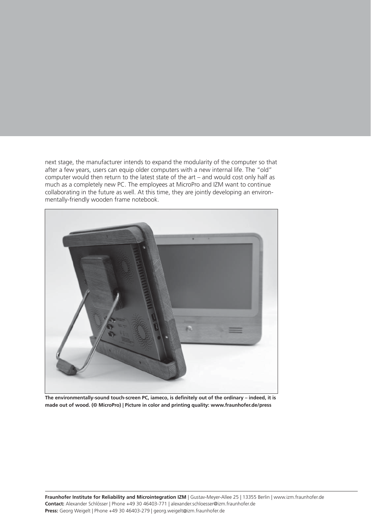next stage, the manufacturer intends to expand the modularity of the computer so that after a few years, users can equip older computers with a new internal life. The "old" computer would then return to the latest state of the art – and would cost only half as much as a completely new PC. The employees at MicroPro and IZM want to continue collaborating in the future as well. At this time, they are jointly developing an environmentally-friendly wooden frame notebook.



The environmentally-sound touch-screen PC, iameco, is definitely out of the ordinary – indeed, it is **made out of wood. (© MicroPro) | Picture in color and printing quality: www.fraunhofer.de/press**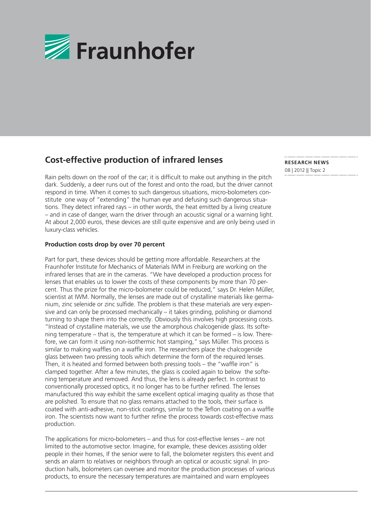

# **Cost-effective production of infrared lenses**

Rain pelts down on the roof of the car; it is difficult to make out anything in the pitch dark. Suddenly, a deer runs out of the forest and onto the road, but the driver cannot respond in time. When it comes to such dangerous situations, micro-bolometers constitute one way of "extending" the human eye and defusing such dangerous situations. They detect infrared rays – in other words, the heat emitted by a living creature – and in case of danger, warn the driver through an acoustic signal or a warning light. At about 2,000 euros, these devices are still quite expensive and are only being used in luxury-class vehicles.

### **Production costs drop by over 70 percent**

Part for part, these devices should be getting more affordable. Researchers at the Fraunhofer Institute for Mechanics of Materials IWM in Freiburg are working on the infrared lenses that are in the cameras. "We have developed a production process for lenses that enables us to lower the costs of these components by more than 70 percent. Thus the prize for the micro-bolometer could be reduced," says Dr. Helen Müller, scientist at IWM. Normally, the lenses are made out of crystalline materials like germanium, zinc selenide or zinc sulfide. The problem is that these materials are very expensive and can only be processed mechanically – it takes grinding, polishing or diamond turning to shape them into the correctly. Obviously this involves high processing costs. "Instead of crystalline materials, we use the amorphous chalcogenide glass. Its softening temperature – that is, the temperature at which it can be formed – is low. Therefore, we can form it using non-isothermic hot stamping," says Müller. This process is similar to making waffles on a waffle iron. The researchers place the chalcogenide glass between two pressing tools which determine the form of the required lenses. Then, it is heated and formed between both pressing tools  $-$  the "waffle iron" is clamped together. After a few minutes, the glass is cooled again to below the softening temperature and removed. And thus, the lens is already perfect. In contrast to conventionally processed optics, it no longer has to be further refined. The lenses manufactured this way exhibit the same excellent optical imaging quality as those that are polished. To ensure that no glass remains attached to the tools, their surface is coated with anti-adhesive, non-stick coatings, similar to the Teflon coating on a waffle iron. The scientists now want to further refine the process towards cost-effective mass production.

The applications for micro-bolometers – and thus for cost-effective lenses – are not limited to the automotive sector. Imagine, for example, these devices assisting older people in their homes, If the senior were to fall, the bolometer registers this event and sends an alarm to relatives or neighbors through an optical or acoustic signal. In production halls, bolometers can oversee and monitor the production processes of various products, to ensure the necessary temperatures are maintained and warn employees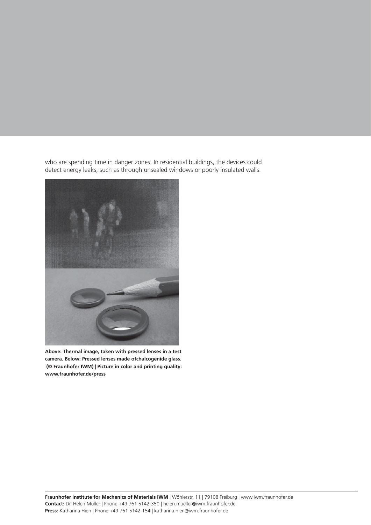who are spending time in danger zones. In residential buildings, the devices could detect energy leaks, such as through unsealed windows or poorly insulated walls.



**Above: Thermal image, taken with pressed lenses in a test camera. Below: Pressed lenses made ofchalcogenide glass. (© Fraunhofer IWM) | Picture in color and printing quality: www.fraunhofer.de/press**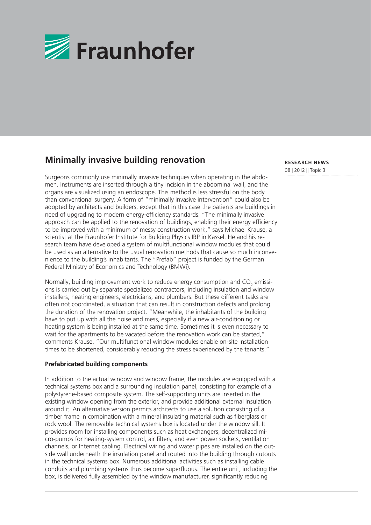

# **Minimally invasive building renovation**

Surgeons commonly use minimally invasive techniques when operating in the abdomen. Instruments are inserted through a tiny incision in the abdominal wall, and the organs are visualized using an endoscope. This method is less stressful on the body than conventional surgery. A form of "minimally invasive intervention" could also be adopted by architects and builders, except that in this case the patients are buildings in need of upgrading to modern energy-efficiency standards. "The minimally invasive approach can be applied to the renovation of buildings, enabling their energy efficiency to be improved with a minimum of messy construction work," says Michael Krause, a scientist at the Fraunhofer Institute for Building Physics IBP in Kassel. He and his research team have developed a system of multifunctional window modules that could be used as an alternative to the usual renovation methods that cause so much inconvenience to the building's inhabitants. The "Prefab" project is funded by the German Federal Ministry of Economics and Technology (BMWi).

Normally, building improvement work to reduce energy consumption and  $\mathsf{CO}_{2}$  emissions is carried out by separate specialized contractors, including insulation and window installers, heating engineers, electricians, and plumbers. But these different tasks are often not coordinated, a situation that can result in construction defects and prolong the duration of the renovation project. "Meanwhile, the inhabitants of the building have to put up with all the noise and mess, especially if a new air-conditioning or heating system is being installed at the same time. Sometimes it is even necessary to wait for the apartments to be vacated before the renovation work can be started," comments Krause. "Our multifunctional window modules enable on-site installation times to be shortened, considerably reducing the stress experienced by the tenants."

### **Prefabricated building components**

In addition to the actual window and window frame, the modules are equipped with a technical systems box and a surrounding insulation panel, consisting for example of a polystyrene-based composite system. The self-supporting units are inserted in the existing window opening from the exterior, and provide additional external insulation around it. An alternative version permits architects to use a solution consisting of a timber frame in combination with a mineral insulating material such as fiberglass or rock wool. The removable technical systems box is located under the window sill. It provides room for installing components such as heat exchangers, decentralized micro-pumps for heating-system control, air fi lters, and even power sockets, ventilation channels, or Internet cabling. Electrical wiring and water pipes are installed on the outside wall underneath the insulation panel and routed into the building through cutouts in the technical systems box. Numerous additional activities such as installing cable conduits and plumbing systems thus become superfluous. The entire unit, including the box, is delivered fully assembled by the window manufacturer, significantly reducing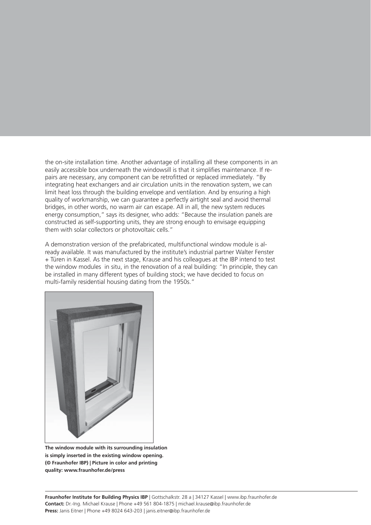the on-site installation time. Another advantage of installing all these components in an easily accessible box underneath the windowsill is that it simplifies maintenance. If repairs are necessary, any component can be retrofitted or replaced immediately. "By integrating heat exchangers and air circulation units in the renovation system, we can limit heat loss through the building envelope and ventilation. And by ensuring a high quality of workmanship, we can guarantee a perfectly airtight seal and avoid thermal bridges, in other words, no warm air can escape. All in all, the new system reduces energy consumption," says its designer, who adds: "Because the insulation panels are constructed as self-supporting units, they are strong enough to envisage equipping them with solar collectors or photovoltaic cells."

A demonstration version of the prefabricated, multifunctional window module is already available. It was manufactured by the institute's industrial partner Walter Fenster + Türen in Kassel. As the next stage, Krause and his colleagues at the IBP intend to test the window modules in situ, in the renovation of a real building: "In principle, they can be installed in many different types of building stock; we have decided to focus on multi-family residential housing dating from the 1950s."



**The window module with its surrounding insulation is simply inserted in the existing window opening. (© Fraunhofer IBP) | Picture in color and printing quality: www.fraunhofer.de/press**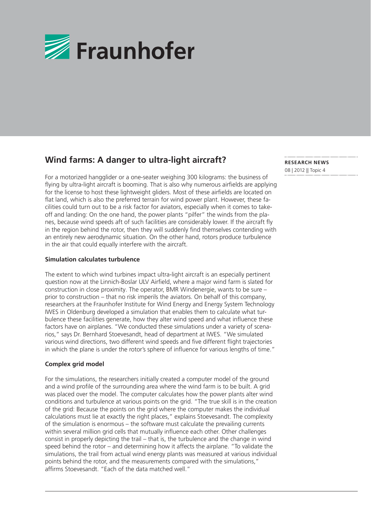

# **Wind farms: A danger to ultra-light aircraft?**

For a motorized hangglider or a one-seater weighing 300 kilograms: the business of flying by ultra-light aircraft is booming. That is also why numerous airfields are applying for the license to host these lightweight gliders. Most of these airfields are located on flat land, which is also the preferred terrain for wind power plant. However, these facilities could turn out to be a risk factor for aviators, especially when it comes to takeoff and landing: On the one hand, the power plants "pilfer" the winds from the planes, because wind speeds aft of such facilities are considerably lower. If the aircraft fly in the region behind the rotor, then they will suddenly find themselves contending with an entirely new aerodynamic situation. On the other hand, rotors produce turbulence in the air that could equally interfere with the aircraft.

#### **Simulation calculates turbulence**

The extent to which wind turbines impact ultra-light aircraft is an especially pertinent question now at the Linnich-Boslar ULV Airfield, where a major wind farm is slated for construction in close proximity. The operator, BMR Windenergie, wants to be sure – prior to construction – that no risk imperils the aviators. On behalf of this company, researchers at the Fraunhofer Institute for Wind Energy and Energy System Technology IWES in Oldenburg developed a simulation that enables them to calculate what turbulence these facilities generate, how they alter wind speed and what influence these factors have on airplanes. "We conducted these simulations under a variety of scenarios," says Dr. Bernhard Stoevesandt, head of department at IWES. "We simulated various wind directions, two different wind speeds and five different flight trajectories in which the plane is under the rotor's sphere of influence for various lengths of time."

### **Complex grid model**

For the simulations, the researchers initially created a computer model of the ground and a wind profile of the surrounding area where the wind farm is to be built. A grid was placed over the model. The computer calculates how the power plants alter wind conditions and turbulence at various points on the grid. "The true skill is in the creation of the grid: Because the points on the grid where the computer makes the individual calculations must lie at exactly the right places," explains Stoevesandt. The complexity of the simulation is enormous – the software must calculate the prevailing currents within several million grid cells that mutually influence each other. Other challenges consist in properly depicting the trail – that is, the turbulence and the change in wind speed behind the rotor – and determining how it affects the airplane. "To validate the simulations, the trail from actual wind energy plants was measured at various individual points behind the rotor, and the measurements compared with the simulations," affirms Stoevesandt. "Each of the data matched well."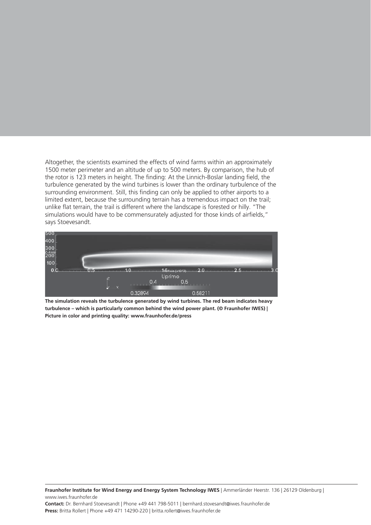Altogether, the scientists examined the effects of wind farms within an approximately 1500 meter perimeter and an altitude of up to 500 meters. By comparison, the hub of the rotor is 123 meters in height. The finding: At the Linnich-Boslar landing field, the turbulence generated by the wind turbines is lower than the ordinary turbulence of the surrounding environment. Still, this finding can only be applied to other airports to a limited extent, because the surrounding terrain has a tremendous impact on the trail; unlike flat terrain, the trail is different where the landscape is forested or hilly. "The simulations would have to be commensurately adjusted for those kinds of airfields," says Stoevesandt.



**The simulation reveals the turbulence generated by wind turbines. The red beam indicates heavy turbulence – which is particularly common behind the wind power plant. (© Fraunhofer IWES) | Picture in color and printing quality: www.fraunhofer.de/press**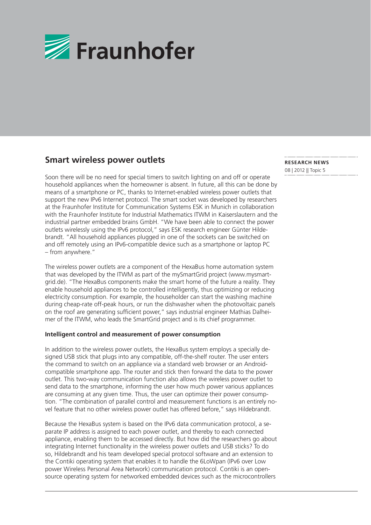

### **Smart wireless power outlets**

Soon there will be no need for special timers to switch lighting on and off or operate household appliances when the homeowner is absent. In future, all this can be done by means of a smartphone or PC, thanks to Internet-enabled wireless power outlets that support the new IPv6 Internet protocol. The smart socket was developed by researchers at the Fraunhofer Institute for Communication Systems ESK in Munich in collaboration with the Fraunhofer Institute for Industrial Mathematics ITWM in Kaiserslautern and the industrial partner embedded brains GmbH. "We have been able to connect the power outlets wirelessly using the IPv6 protocol," says ESK research engineer Günter Hildebrandt. "All household appliances plugged in one of the sockets can be switched on and off remotely using an IPv6-compatible device such as a smartphone or laptop PC – from anywhere."

The wireless power outlets are a component of the HexaBus home automation system that was developed by the ITWM as part of the mySmartGrid project (www.mysmartgrid.de). "The HexaBus components make the smart home of the future a reality. They enable household appliances to be controlled intelligently, thus optimizing or reducing electricity consumption. For example, the householder can start the washing machine during cheap-rate off-peak hours, or run the dishwasher when the photovoltaic panels on the roof are generating sufficient power," says industrial engineer Mathias Dalheimer of the ITWM, who leads the SmartGrid project and is its chief programmer.

### **Intelligent control and measurement of power consumption**

In addition to the wireless power outlets, the HexaBus system employs a specially designed USB stick that plugs into any compatible, off-the-shelf router. The user enters the command to switch on an appliance via a standard web browser or an Androidcompatible smartphone app. The router and stick then forward the data to the power outlet. This two-way communication function also allows the wireless power outlet to send data to the smartphone, informing the user how much power various appliances are consuming at any given time. Thus, the user can optimize their power consumption. "The combination of parallel control and measurement functions is an entirely novel feature that no other wireless power outlet has offered before," says Hildebrandt.

Because the HexaBus system is based on the IPv6 data communication protocol, a separate IP address is assigned to each power outlet, and thereby to each connected appliance, enabling them to be accessed directly. But how did the researchers go about integrating Internet functionality in the wireless power outlets and USB sticks? To do so, Hildebrandt and his team developed special protocol software and an extension to the Contiki operating system that enables it to handle the 6LoWpan (IPv6 over Low power Wireless Personal Area Network) communication protocol. Contiki is an opensource operating system for networked embedded devices such as the microcontrollers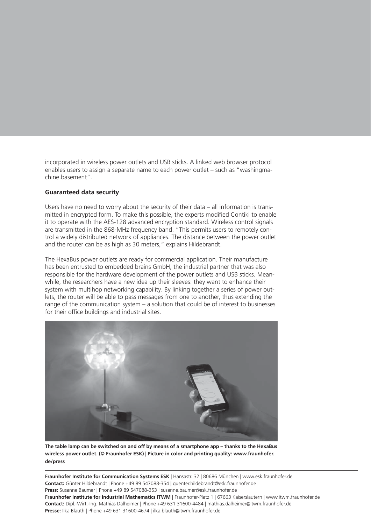incorporated in wireless power outlets and USB sticks. A linked web browser protocol enables users to assign a separate name to each power outlet – such as "washingmachine.basement".

### **Guaranteed data security**

Users have no need to worry about the security of their data  $-$  all information is transmitted in encrypted form. To make this possible, the experts modified Contiki to enable it to operate with the AES-128 advanced encryption standard. Wireless control signals are transmitted in the 868-MHz frequency band. "This permits users to remotely control a widely distributed network of appliances. The distance between the power outlet and the router can be as high as 30 meters," explains Hildebrandt.

The HexaBus power outlets are ready for commercial application. Their manufacture has been entrusted to embedded brains GmbH, the industrial partner that was also responsible for the hardware development of the power outlets and USB sticks. Meanwhile, the researchers have a new idea up their sleeves: they want to enhance their system with multihop networking capability. By linking together a series of power outlets, the router will be able to pass messages from one to another, thus extending the range of the communication system – a solution that could be of interest to businesses for their office buildings and industrial sites.



**The table lamp can be switched on and off by means of a smartphone app – thanks to the HexaBus wireless power outlet. (© Fraunhofer ESK) | Picture in color and printing quality: www.fraunhofer. de/press**

**Fraunhofer Institute for Communication Systems ESK** | Hansastr. 32 | 80686 München | www.esk.fraunhofer.de **Contact:** Günter Hildebrandt | Phone +49 89 547088-354 | guenter.hildebrandt@esk.fraunhofer.de **Press:** Susanne Baumer | Phone +49 89 547088-353 | susanne.baumer@esk.fraunhofer.de **Fraunhofer Institute for Industrial Mathematics ITWM** | Fraunhofer-Platz 1 | 67663 Kaiserslautern | www.itwm.fraunhofer.de **Contact:** Dipl.-Wirt.-Ing. Mathias Dalheimer | Phone +49 631 31600-4484 | mathias.dalheimer@itwm.fraunhofer.de **Presse:** Ilka Blauth | Phone +49 631 31600-4674 | ilka.blauth@itwm.fraunhofer.de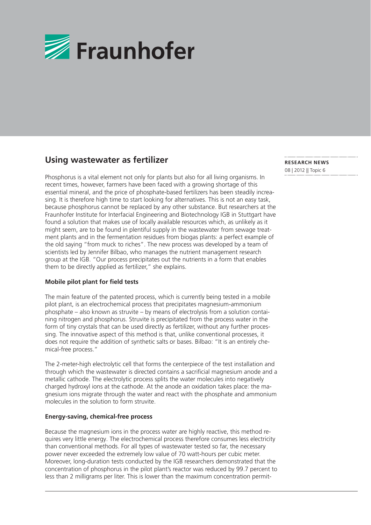

# **Using wastewater as fertilizer**

Phosphorus is a vital element not only for plants but also for all living organisms. In recent times, however, farmers have been faced with a growing shortage of this essential mineral, and the price of phosphate-based fertilizers has been steadily increasing. It is therefore high time to start looking for alternatives. This is not an easy task, because phosphorus cannot be replaced by any other substance. But researchers at the Fraunhofer Institute for Interfacial Engineering and Biotechnology IGB in Stuttgart have found a solution that makes use of locally available resources which, as unlikely as it might seem, are to be found in plentiful supply in the wastewater from sewage treatment plants and in the fermentation residues from biogas plants: a perfect example of the old saying "from muck to riches". The new process was developed by a team of scientists led by Jennifer Bilbao, who manages the nutrient management research group at the IGB. "Our process precipitates out the nutrients in a form that enables them to be directly applied as fertilizer," she explains.

### **Mobile pilot plant for field tests**

The main feature of the patented process, which is currently being tested in a mobile pilot plant, is an electrochemical process that precipitates magnesium-ammonium phosphate – also known as struvite – by means of electrolysis from a solution containing nitrogen and phosphorus. Struvite is precipitated from the process water in the form of tiny crystals that can be used directly as fertilizer, without any further processing. The innovative aspect of this method is that, unlike conventional processes, it does not require the addition of synthetic salts or bases. Bilbao: "It is an entirely chemical-free process."

The 2-meter-high electrolytic cell that forms the centerpiece of the test installation and through which the wastewater is directed contains a sacrificial magnesium anode and a metallic cathode. The electrolytic process splits the water molecules into negatively charged hydroxyl ions at the cathode. At the anode an oxidation takes place: the magnesium ions migrate through the water and react with the phosphate and ammonium molecules in the solution to form struvite.

### **Energy-saving, chemical-free process**

Because the magnesium ions in the process water are highly reactive, this method requires very little energy. The electrochemical process therefore consumes less electricity than conventional methods. For all types of wastewater tested so far, the necessary power never exceeded the extremely low value of 70 watt-hours per cubic meter. Moreover, long-duration tests conducted by the IGB researchers demonstrated that the concentration of phosphorus in the pilot plant's reactor was reduced by 99.7 percent to less than 2 milligrams per liter. This is lower than the maximum concentration permit-